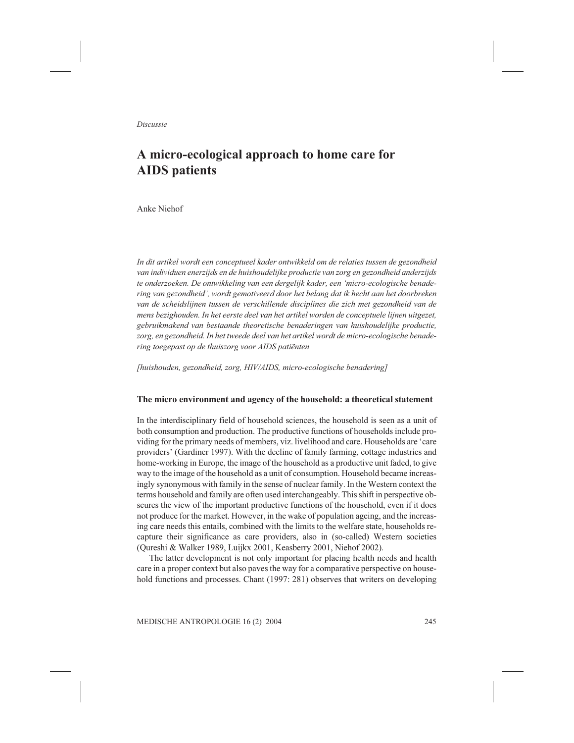Discussie

# A micro-ecological approach to home care for AIDS patients

Anke Niehof

In dit artikel wordt een conceptueel kader ontwikkeld om de relaties tussen de gezondheid van individuen enerzijds en de huishoudelijke productie van zorg en gezondheid anderzijds te onderzoeken. De ontwikkeling van een dergelijk kader, een 'micro-ecologische benadering van gezondheid', wordt gemotiveerd door het belang dat ik hecht aan het doorbreken van de scheidslijnen tussen de verschillende disciplines die zich met gezondheid van de mens bezighouden. In het eerste deel van het artikel worden de conceptuele lijnen uitgezet, gebruikmakend van bestaande theoretische benaderingen van huishoudelijke productie, zorg, en gezondheid. In het tweede deel van het artikel wordt de micro-ecologische benadering toegepast op de thuiszorg voor AIDS patiënten

[huishouden, gezondheid, zorg, HIV/AIDS, micro-ecologische benadering]

#### The micro environment and agency of the household: a theoretical statement

In the interdisciplinary field of household sciences, the household is seen as a unit of both consumption and production. The productive functions of households include providing for the primary needs of members, viz. livelihood and care. Households are 'care providers' (Gardiner 1997). With the decline of family farming, cottage industries and home-working in Europe, the image of the household as a productive unit faded, to give way to the image of the household as a unit of consumption. Household became increasingly synonymous with family in the sense of nuclear family. In the Western context the terms household and family are often used interchangeably. This shift in perspective obscures the view of the important productive functions of the household, even if it does not produce for the market. However, in the wake of population ageing, and the increasing care needs this entails, combined with the limits to the welfare state, households recapture their significance as care providers, also in (so-called) Western societies (Qureshi & Walker 1989, Luijkx 2001, Keasberry 2001, Niehof 2002).

The latter development is not only important for placing health needs and health care in a proper context but also paves the way for a comparative perspective on household functions and processes. Chant (1997: 281) observes that writers on developing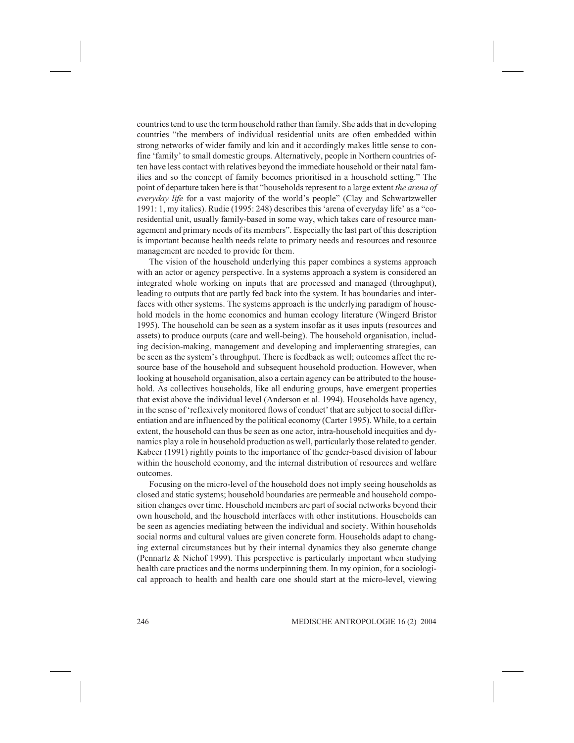countries tend to use the term household rather than family. She adds that in developing countries "the members of individual residential units are often embedded within strong networks of wider family and kin and it accordingly makes little sense to confine 'family' to small domestic groups. Alternatively, people in Northern countries often have less contact with relatives beyond the immediate household or their natal families and so the concept of family becomes prioritised in a household setting." The point of departure taken here is that "households represent to a large extent the arena of everyday life for a vast majority of the world's people" (Clay and Schwartzweller 1991: 1, my italics). Rudie (1995: 248) describes this 'arena of everyday life' as a "coresidential unit, usually family-based in some way, which takes care of resource management and primary needs of its members". Especially the last part of this description is important because health needs relate to primary needs and resources and resource management are needed to provide for them.

The vision of the household underlying this paper combines a systems approach with an actor or agency perspective. In a systems approach a system is considered an integrated whole working on inputs that are processed and managed (throughput), leading to outputs that are partly fed back into the system. It has boundaries and interfaces with other systems. The systems approach is the underlying paradigm of household models in the home economics and human ecology literature (Wingerd Bristor 1995). The household can be seen as a system insofar as it uses inputs (resources and assets) to produce outputs (care and well-being). The household organisation, including decision-making, management and developing and implementing strategies, can be seen as the system's throughput. There is feedback as well; outcomes affect the resource base of the household and subsequent household production. However, when looking at household organisation, also a certain agency can be attributed to the household. As collectives households, like all enduring groups, have emergent properties that exist above the individual level (Anderson et al. 1994). Households have agency, in the sense of 'reflexively monitored flows of conduct' that are subject to social differentiation and are influenced by the political economy (Carter 1995). While, to a certain extent, the household can thus be seen as one actor, intra-household inequities and dynamics play a role in household production as well, particularly those related to gender. Kabeer (1991) rightly points to the importance of the gender-based division of labour within the household economy, and the internal distribution of resources and welfare outcomes.

Focusing on the micro-level of the household does not imply seeing households as closed and static systems; household boundaries are permeable and household composition changes over time. Household members are part of social networks beyond their own household, and the household interfaces with other institutions. Households can be seen as agencies mediating between the individual and society. Within households social norms and cultural values are given concrete form. Households adapt to changing external circumstances but by their internal dynamics they also generate change (Pennartz & Niehof 1999). This perspective is particularly important when studying health care practices and the norms underpinning them. In my opinion, for a sociological approach to health and health care one should start at the micro-level, viewing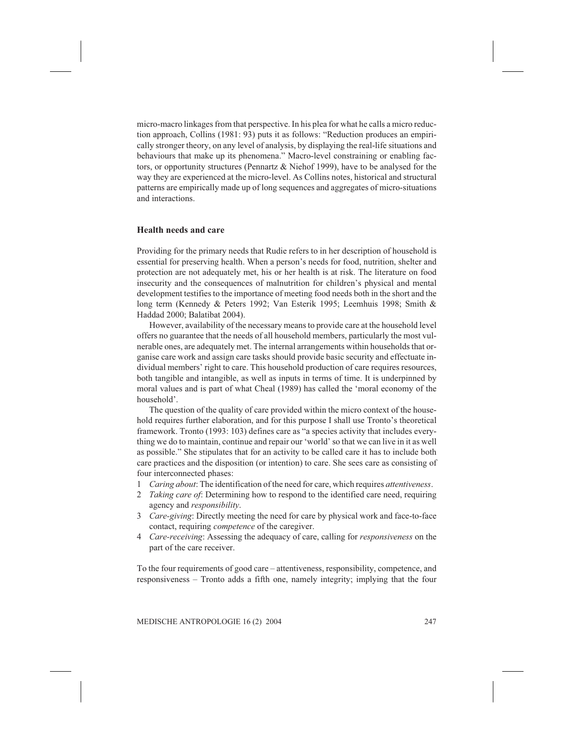micro-macro linkages from that perspective. In his plea for what he calls a micro reduction approach, Collins (1981: 93) puts it as follows: "Reduction produces an empirically stronger theory, on any level of analysis, by displaying the real-life situations and behaviours that make up its phenomena." Macro-level constraining or enabling factors, or opportunity structures (Pennartz & Niehof 1999), have to be analysed for the way they are experienced at the micro-level. As Collins notes, historical and structural patterns are empirically made up of long sequences and aggregates of micro-situations and interactions.

#### Health needs and care

Providing for the primary needs that Rudie refers to in her description of household is essential for preserving health. When a person's needs for food, nutrition, shelter and protection are not adequately met, his or her health is at risk. The literature on food insecurity and the consequences of malnutrition for children's physical and mental development testifies to the importance of meeting food needs both in the short and the long term (Kennedy & Peters 1992; Van Esterik 1995; Leemhuis 1998; Smith & Haddad 2000; Balatibat 2004).

However, availability of the necessary means to provide care at the household level offers no guarantee that the needs of all household members, particularly the most vulnerable ones, are adequately met. The internal arrangements within households that organise care work and assign care tasks should provide basic security and effectuate individual members' right to care. This household production of care requires resources, both tangible and intangible, as well as inputs in terms of time. It is underpinned by moral values and is part of what Cheal (1989) has called the 'moral economy of the household'.

The question of the quality of care provided within the micro context of the household requires further elaboration, and for this purpose I shall use Tronto's theoretical framework. Tronto (1993: 103) defines care as "a species activity that includes everything we do to maintain, continue and repair our 'world' so that we can live in it as well as possible." She stipulates that for an activity to be called care it has to include both care practices and the disposition (or intention) to care. She sees care as consisting of four interconnected phases:

- 1 Caring about: The identification of the need for care, which requires attentiveness.
- 2 Taking care of: Determining how to respond to the identified care need, requiring agency and responsibility.
- 3 Care-giving: Directly meeting the need for care by physical work and face-to-face contact, requiring competence of the caregiver.
- 4 Care-receiving: Assessing the adequacy of care, calling for responsiveness on the part of the care receiver.

To the four requirements of good care – attentiveness, responsibility, competence, and responsiveness – Tronto adds a fifth one, namely integrity; implying that the four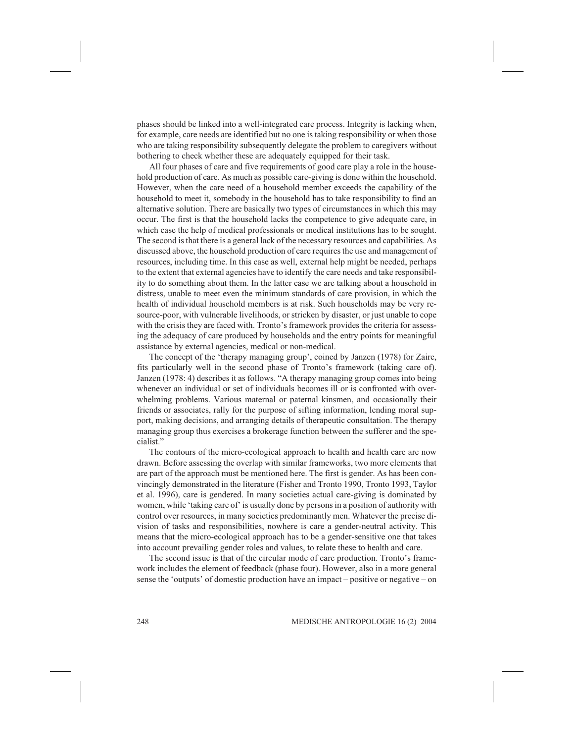phases should be linked into a well-integrated care process. Integrity is lacking when, for example, care needs are identified but no one is taking responsibility or when those who are taking responsibility subsequently delegate the problem to caregivers without bothering to check whether these are adequately equipped for their task.

All four phases of care and five requirements of good care play a role in the household production of care. As much as possible care-giving is done within the household. However, when the care need of a household member exceeds the capability of the household to meet it, somebody in the household has to take responsibility to find an alternative solution. There are basically two types of circumstances in which this may occur. The first is that the household lacks the competence to give adequate care, in which case the help of medical professionals or medical institutions has to be sought. The second is that there is a general lack of the necessary resources and capabilities. As discussed above, the household production of care requires the use and management of resources, including time. In this case as well, external help might be needed, perhaps to the extent that external agencies have to identify the care needs and take responsibility to do something about them. In the latter case we are talking about a household in distress, unable to meet even the minimum standards of care provision, in which the health of individual household members is at risk. Such households may be very resource-poor, with vulnerable livelihoods, or stricken by disaster, or just unable to cope with the crisis they are faced with. Tronto's framework provides the criteria for assessing the adequacy of care produced by households and the entry points for meaningful assistance by external agencies, medical or non-medical.

The concept of the 'therapy managing group', coined by Janzen (1978) for Zaire, fits particularly well in the second phase of Tronto's framework (taking care of). Janzen (1978: 4) describes it as follows. "A therapy managing group comes into being whenever an individual or set of individuals becomes ill or is confronted with overwhelming problems. Various maternal or paternal kinsmen, and occasionally their friends or associates, rally for the purpose of sifting information, lending moral support, making decisions, and arranging details of therapeutic consultation. The therapy managing group thus exercises a brokerage function between the sufferer and the specialist."

The contours of the micro-ecological approach to health and health care are now drawn. Before assessing the overlap with similar frameworks, two more elements that are part of the approach must be mentioned here. The first is gender. As has been convincingly demonstrated in the literature (Fisher and Tronto 1990, Tronto 1993, Taylor et al. 1996), care is gendered. In many societies actual care-giving is dominated by women, while 'taking care of' is usually done by persons in a position of authority with control over resources, in many societies predominantly men. Whatever the precise division of tasks and responsibilities, nowhere is care a gender-neutral activity. This means that the micro-ecological approach has to be a gender-sensitive one that takes into account prevailing gender roles and values, to relate these to health and care.

The second issue is that of the circular mode of care production. Tronto's framework includes the element of feedback (phase four). However, also in a more general sense the 'outputs' of domestic production have an impact – positive or negative – on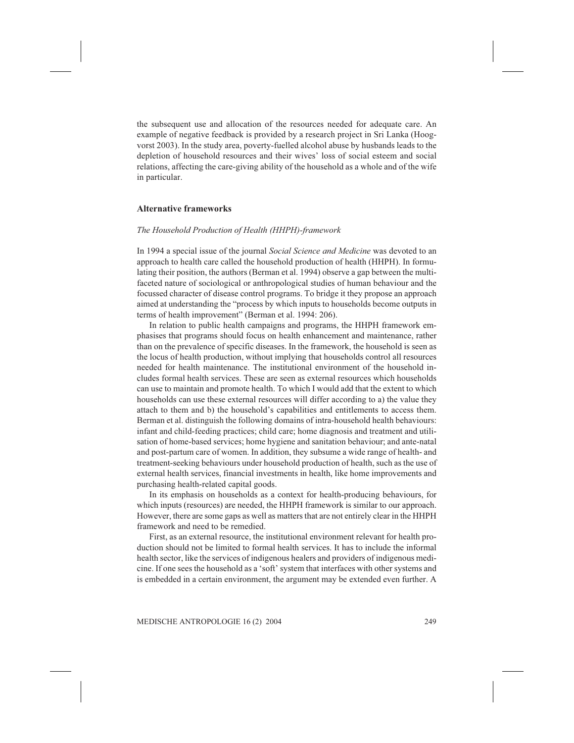the subsequent use and allocation of the resources needed for adequate care. An example of negative feedback is provided by a research project in Sri Lanka (Hoogvorst 2003). In the study area, poverty-fuelled alcohol abuse by husbands leads to the depletion of household resources and their wives' loss of social esteem and social relations, affecting the care-giving ability of the household as a whole and of the wife in particular.

# Alternative frameworks

#### The Household Production of Health (HHPH)-framework

In 1994 a special issue of the journal Social Science and Medicine was devoted to an approach to health care called the household production of health (HHPH). In formulating their position, the authors (Berman et al. 1994) observe a gap between the multifaceted nature of sociological or anthropological studies of human behaviour and the focussed character of disease control programs. To bridge it they propose an approach aimed at understanding the "process by which inputs to households become outputs in terms of health improvement" (Berman et al. 1994: 206).

In relation to public health campaigns and programs, the HHPH framework emphasises that programs should focus on health enhancement and maintenance, rather than on the prevalence of specific diseases. In the framework, the household is seen as the locus of health production, without implying that households control all resources needed for health maintenance. The institutional environment of the household includes formal health services. These are seen as external resources which households can use to maintain and promote health. To which I would add that the extent to which households can use these external resources will differ according to a) the value they attach to them and b) the household's capabilities and entitlements to access them. Berman et al. distinguish the following domains of intra-household health behaviours: infant and child-feeding practices; child care; home diagnosis and treatment and utilisation of home-based services; home hygiene and sanitation behaviour; and ante-natal and post-partum care of women. In addition, they subsume a wide range of health- and treatment-seeking behaviours under household production of health, such as the use of external health services, financial investments in health, like home improvements and purchasing health-related capital goods.

In its emphasis on households as a context for health-producing behaviours, for which inputs (resources) are needed, the HHPH framework is similar to our approach. However, there are some gaps as well as matters that are not entirely clear in the HHPH framework and need to be remedied.

First, as an external resource, the institutional environment relevant for health production should not be limited to formal health services. It has to include the informal health sector, like the services of indigenous healers and providers of indigenous medicine. If one sees the household as a 'soft' system that interfaces with other systems and is embedded in a certain environment, the argument may be extended even further. A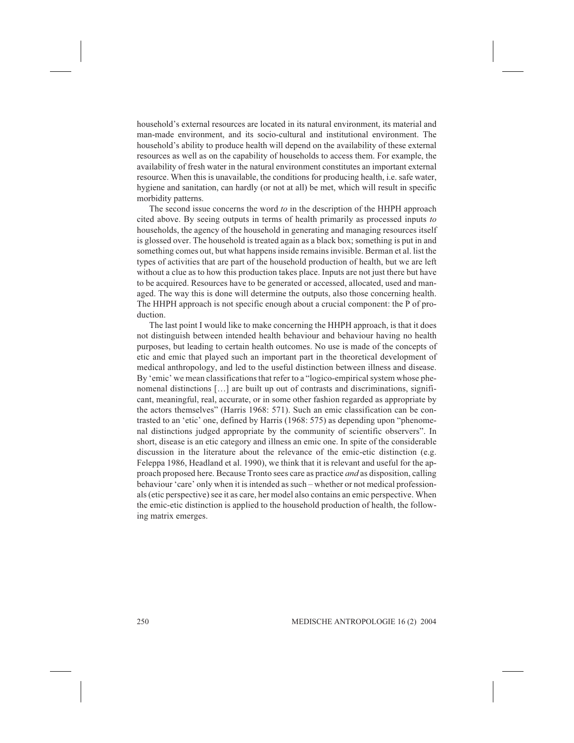household's external resources are located in its natural environment, its material and man-made environment, and its socio-cultural and institutional environment. The household's ability to produce health will depend on the availability of these external resources as well as on the capability of households to access them. For example, the availability of fresh water in the natural environment constitutes an important external resource. When this is unavailable, the conditions for producing health, i.e. safe water, hygiene and sanitation, can hardly (or not at all) be met, which will result in specific morbidity patterns.

The second issue concerns the word to in the description of the HHPH approach cited above. By seeing outputs in terms of health primarily as processed inputs to households, the agency of the household in generating and managing resources itself is glossed over. The household is treated again as a black box; something is put in and something comes out, but what happens inside remains invisible. Berman et al. list the types of activities that are part of the household production of health, but we are left without a clue as to how this production takes place. Inputs are not just there but have to be acquired. Resources have to be generated or accessed, allocated, used and managed. The way this is done will determine the outputs, also those concerning health. The HHPH approach is not specific enough about a crucial component: the P of production.

The last point I would like to make concerning the HHPH approach, is that it does not distinguish between intended health behaviour and behaviour having no health purposes, but leading to certain health outcomes. No use is made of the concepts of etic and emic that played such an important part in the theoretical development of medical anthropology, and led to the useful distinction between illness and disease. By 'emic' we mean classifications that refer to a "logico-empirical system whose phenomenal distinctions [...] are built up out of contrasts and discriminations, significant, meaningful, real, accurate, or in some other fashion regarded as appropriate by the actors themselves" (Harris 1968: 571). Such an emic classification can be contrasted to an 'etic' one, defined by Harris (1968: 575) as depending upon "phenomenal distinctions judged appropriate by the community of scientific observers". In short, disease is an etic category and illness an emic one. In spite of the considerable discussion in the literature about the relevance of the emic-etic distinction (e.g. Feleppa 1986, Headland et al. 1990), we think that it is relevant and useful for the approach proposed here. Because Tronto sees care as practice and as disposition, calling behaviour 'care' only when it is intended as such – whether or not medical professionals (etic perspective) see it as care, her model also contains an emic perspective. When the emic-etic distinction is applied to the household production of health, the following matrix emerges.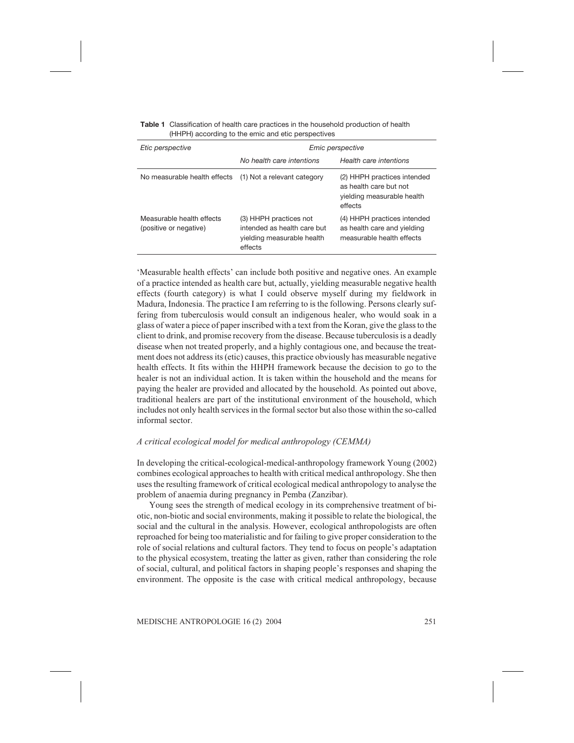| <b>Table 1</b> Classification of health care practices in the household production of health |
|----------------------------------------------------------------------------------------------|
| (HHPH) according to the emic and etic perspectives                                           |

| Etic perspective                                    | Emic perspective                                                                               |                                                                                                |  |
|-----------------------------------------------------|------------------------------------------------------------------------------------------------|------------------------------------------------------------------------------------------------|--|
|                                                     | No health care intentions                                                                      | Health care intentions                                                                         |  |
| No measurable health effects                        | (1) Not a relevant category                                                                    | (2) HHPH practices intended<br>as health care but not<br>yielding measurable health<br>effects |  |
| Measurable health effects<br>(positive or negative) | (3) HHPH practices not<br>intended as health care but<br>yielding measurable health<br>effects | (4) HHPH practices intended<br>as health care and yielding<br>measurable health effects        |  |

'Measurable health effects' can include both positive and negative ones. An example of a practice intended as health care but, actually, yielding measurable negative health effects (fourth category) is what I could observe myself during my fieldwork in Madura, Indonesia. The practice I am referring to is the following. Persons clearly suffering from tuberculosis would consult an indigenous healer, who would soak in a glass of water a piece of paper inscribed with a text from the Koran, give the glass to the client to drink, and promise recovery from the disease. Because tuberculosis is a deadly disease when not treated properly, and a highly contagious one, and because the treatment does not address its (etic) causes, this practice obviously has measurable negative health effects. It fits within the HHPH framework because the decision to go to the healer is not an individual action. It is taken within the household and the means for paying the healer are provided and allocated by the household. As pointed out above, traditional healers are part of the institutional environment of the household, which includes not only health services in the formal sector but also those within the so-called informal sector.

#### A critical ecological model for medical anthropology (CEMMA)

In developing the critical-ecological-medical-anthropology framework Young (2002) combines ecological approaches to health with critical medical anthropology. She then uses the resulting framework of critical ecological medical anthropology to analyse the problem of anaemia during pregnancy in Pemba (Zanzibar).

Young sees the strength of medical ecology in its comprehensive treatment of biotic, non-biotic and social environments, making it possible to relate the biological, the social and the cultural in the analysis. However, ecological anthropologists are often reproached for being too materialistic and for failing to give proper consideration to the role of social relations and cultural factors. They tend to focus on people's adaptation to the physical ecosystem, treating the latter as given, rather than considering the role of social, cultural, and political factors in shaping people's responses and shaping the environment. The opposite is the case with critical medical anthropology, because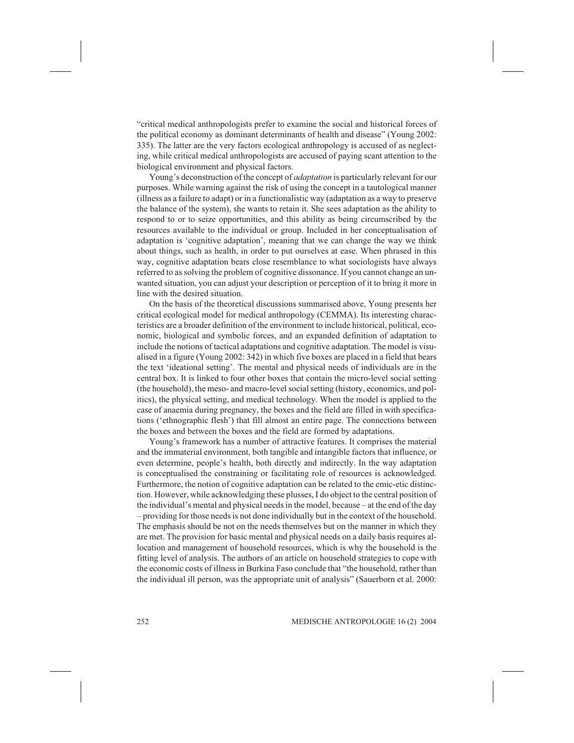"critical medical anthropologists prefer to examine the social and historical forces of the political economy as dominant determinants of health and disease" (Young 2002: 335). The latter are the very factors ecological anthropology is accused of as neglecting, while critical medical anthropologists are accused of paying scant attention to the biological environment and physical factors.

Young's deconstruction of the concept of *adaptation* is particularly relevant for our purposes. While warning against the risk of using the concept in a tautological manner (illness as a failure to adapt) or in a functionalistic way (adaptation as a way to preserve the balance of the system), she wants to retain it. She sees adaptation as the ability to respond to or to seize opportunities, and this ability as being circumscribed by the resources available to the individual or group. Included in her conceptualisation of adaptation is 'cognitive adaptation', meaning that we can change the way we think about things, such as health, in order to put ourselves at ease. When phrased in this way, cognitive adaptation bears close resemblance to what sociologists have always referred to as solving the problem of cognitive dissonance. If you cannot change an unwanted situation, you can adjust your description or perception of it to bring it more in line with the desired situation.

On the basis of the theoretical discussions summarised above, Young presents her critical ecological model for medical anthropology (CEMMA). Its interesting characteristics are a broader definition of the environment to include historical, political, economic, biological and symbolic forces, and an expanded definition of adaptation to include the notions of tactical adaptations and cognitive adaptation. The model is visualised in a figure (Young 2002: 342) in which five boxes are placed in a field that bears the text 'ideational setting'. The mental and physical needs of individuals are in the central box. It is linked to four other boxes that contain the micro-level social setting (the household), the meso- and macro-level social setting (history, economics, and politics), the physical setting, and medical technology. When the model is applied to the case of anaemia during pregnancy, the boxes and the field are filled in with specifications ('ethnographic flesh') that fill almost an entire page. The connections between the boxes and between the boxes and the field are formed by adaptations.

Young's framework has a number of attractive features. It comprises the material and the immaterial environment, both tangible and intangible factors that influence, or even determine, people's health, both directly and indirectly. In the way adaptation is conceptualised the constraining or facilitating role of resources is acknowledged. Furthermore, the notion of cognitive adaptation can be related to the emic-etic distinction. However, while acknowledging these plusses, I do object to the central position of the individual's mental and physical needs in the model, because – at the end of the day – providing for those needs is not done individually but in the context of the household. The emphasis should be not on the needs themselves but on the manner in which they are met. The provision for basic mental and physical needs on a daily basis requires allocation and management of household resources, which is why the household is the fitting level of analysis. The authors of an article on household strategies to cope with the economic costs of illness in Burkina Faso conclude that "the household, rather than the individual ill person, was the appropriate unit of analysis" (Sauerborn et al. 2000: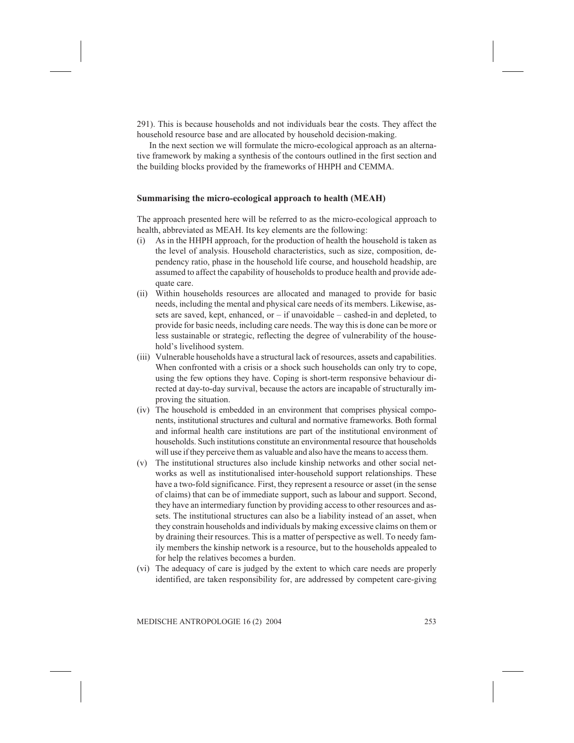291). This is because households and not individuals bear the costs. They affect the household resource base and are allocated by household decision-making.

In the next section we will formulate the micro-ecological approach as an alternative framework by making a synthesis of the contours outlined in the first section and the building blocks provided by the frameworks of HHPH and CEMMA.

#### Summarising the micro-ecological approach to health (MEAH)

The approach presented here will be referred to as the micro-ecological approach to health, abbreviated as MEAH. Its key elements are the following:

- (i) As in the HHPH approach, for the production of health the household is taken as the level of analysis. Household characteristics, such as size, composition, dependency ratio, phase in the household life course, and household headship, are assumed to affect the capability of households to produce health and provide adequate care.
- (ii) Within households resources are allocated and managed to provide for basic needs, including the mental and physical care needs of its members. Likewise, assets are saved, kept, enhanced, or  $-$  if unavoidable  $-$  cashed-in and depleted, to provide for basic needs, including care needs. The way this is done can be more or less sustainable or strategic, reflecting the degree of vulnerability of the household's livelihood system.
- (iii) Vulnerable households have a structural lack of resources, assets and capabilities. When confronted with a crisis or a shock such households can only try to cope, using the few options they have. Coping is short-term responsive behaviour directed at day-to-day survival, because the actors are incapable of structurally improving the situation.
- (iv) The household is embedded in an environment that comprises physical components, institutional structures and cultural and normative frameworks. Both formal and informal health care institutions are part of the institutional environment of households. Such institutions constitute an environmental resource that households will use if they perceive them as valuable and also have the means to access them.
- (v) The institutional structures also include kinship networks and other social networks as well as institutionalised inter-household support relationships. These have a two-fold significance. First, they represent a resource or asset (in the sense of claims) that can be of immediate support, such as labour and support. Second, they have an intermediary function by providing access to other resources and assets. The institutional structures can also be a liability instead of an asset, when they constrain households and individuals by making excessive claims on them or by draining their resources. This is a matter of perspective as well. To needy family members the kinship network is a resource, but to the households appealed to for help the relatives becomes a burden.
- (vi) The adequacy of care is judged by the extent to which care needs are properly identified, are taken responsibility for, are addressed by competent care-giving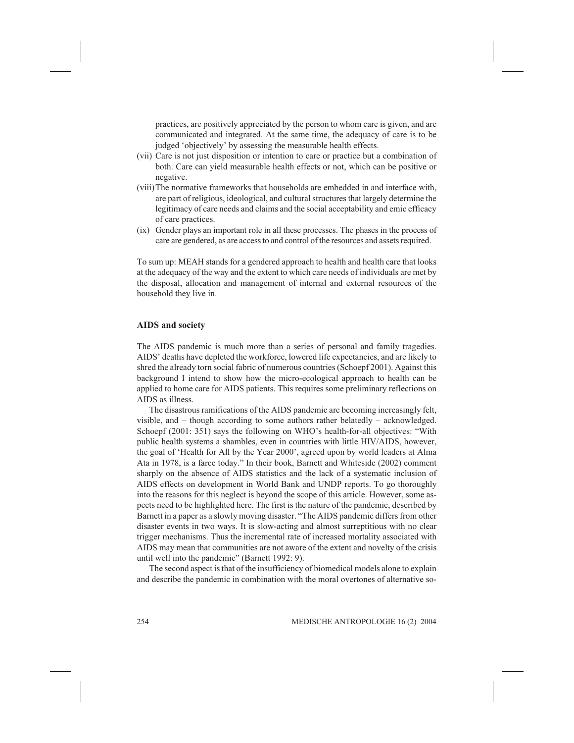practices, are positively appreciated by the person to whom care is given, and are communicated and integrated. At the same time, the adequacy of care is to be judged 'objectively' by assessing the measurable health effects.

- (vii) Care is not just disposition or intention to care or practice but a combination of both. Care can yield measurable health effects or not, which can be positive or negative.
- (viii)The normative frameworks that households are embedded in and interface with, are part of religious, ideological, and cultural structuresthat largely determine the legitimacy of care needs and claims and the social acceptability and emic efficacy of care practices.
- (ix) Gender plays an important role in all these processes. The phases in the process of care are gendered, as are access to and control of the resources and assets required.

To sum up: MEAH stands for a gendered approach to health and health care that looks at the adequacy of the way and the extent to which care needs of individuals are met by the disposal, allocation and management of internal and external resources of the household they live in.

# AIDS and society

The AIDS pandemic is much more than a series of personal and family tragedies. AIDS' deaths have depleted the workforce, lowered life expectancies, and are likely to shred the already torn social fabric of numerous countries (Schoepf 2001). Against this background I intend to show how the micro-ecological approach to health can be applied to home care for AIDS patients. This requires some preliminary reflections on AIDS as illness.

The disastrous ramifications of the AIDS pandemic are becoming increasingly felt, visible, and – though according to some authors rather belatedly – acknowledged. Schoepf (2001: 351) says the following on WHO's health-for-all objectives: "With public health systems a shambles, even in countries with little HIV/AIDS, however, the goal of 'Health for All by the Year 2000', agreed upon by world leaders at Alma Ata in 1978, is a farce today." In their book, Barnett and Whiteside (2002) comment sharply on the absence of AIDS statistics and the lack of a systematic inclusion of AIDS effects on development in World Bank and UNDP reports. To go thoroughly into the reasons for this neglect is beyond the scope of this article. However, some aspects need to be highlighted here. The first is the nature of the pandemic, described by Barnett in a paper as a slowly moving disaster. "The AIDS pandemic differs from other disaster events in two ways. It is slow-acting and almost surreptitious with no clear trigger mechanisms. Thus the incremental rate of increased mortality associated with AIDS may mean that communities are not aware of the extent and novelty of the crisis until well into the pandemic" (Barnett 1992: 9).

The second aspect is that of the insufficiency of biomedical models alone to explain and describe the pandemic in combination with the moral overtones of alternative so-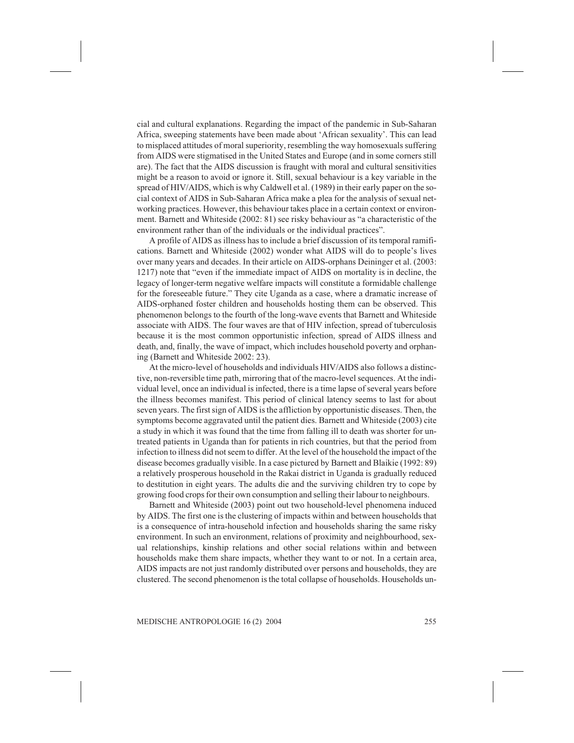cial and cultural explanations. Regarding the impact of the pandemic in Sub-Saharan Africa, sweeping statements have been made about 'African sexuality'. This can lead to misplaced attitudes of moral superiority, resembling the way homosexuals suffering from AIDS were stigmatised in the United States and Europe (and in some corners still are). The fact that the AIDS discussion is fraught with moral and cultural sensitivities might be a reason to avoid or ignore it. Still, sexual behaviour is a key variable in the spread of HIV/AIDS, which is why Caldwell et al. (1989) in their early paper on the social context of AIDS in Sub-Saharan Africa make a plea for the analysis of sexual networking practices. However, this behaviour takes place in a certain context or environment. Barnett and Whiteside (2002: 81) see risky behaviour as "a characteristic of the environment rather than of the individuals or the individual practices".

A profile of AIDS as illness has to include a brief discussion of its temporal ramifications. Barnett and Whiteside (2002) wonder what AIDS will do to people's lives over many years and decades. In their article on AIDS-orphans Deininger et al. (2003: 1217) note that "even if the immediate impact of AIDS on mortality is in decline, the legacy of longer-term negative welfare impacts will constitute a formidable challenge for the foreseeable future." They cite Uganda as a case, where a dramatic increase of AIDS-orphaned foster children and households hosting them can be observed. This phenomenon belongs to the fourth of the long-wave events that Barnett and Whiteside associate with AIDS. The four waves are that of HIV infection, spread of tuberculosis because it is the most common opportunistic infection, spread of AIDS illness and death, and, finally, the wave of impact, which includes household poverty and orphaning (Barnett and Whiteside 2002: 23).

At the micro-level of households and individuals HIV/AIDS also follows a distinctive, non-reversible time path, mirroring that of the macro-level sequences. At the individual level, once an individual is infected, there is a time lapse of several years before the illness becomes manifest. This period of clinical latency seems to last for about seven years. The first sign of AIDS is the affliction by opportunistic diseases. Then, the symptoms become aggravated until the patient dies. Barnett and Whiteside (2003) cite a study in which it was found that the time from falling ill to death was shorter for untreated patients in Uganda than for patients in rich countries, but that the period from infection to illness did not seem to differ. At the level of the household the impact of the disease becomes gradually visible. In a case pictured by Barnett and Blaikie (1992: 89) a relatively prosperous household in the Rakai district in Uganda is gradually reduced to destitution in eight years. The adults die and the surviving children try to cope by growing food crops for their own consumption and selling their labour to neighbours.

Barnett and Whiteside (2003) point out two household-level phenomena induced by AIDS. The first one is the clustering of impacts within and between households that is a consequence of intra-household infection and households sharing the same risky environment. In such an environment, relations of proximity and neighbourhood, sexual relationships, kinship relations and other social relations within and between households make them share impacts, whether they want to or not. In a certain area, AIDS impacts are not just randomly distributed over persons and households, they are clustered. The second phenomenon is the total collapse of households. Households un-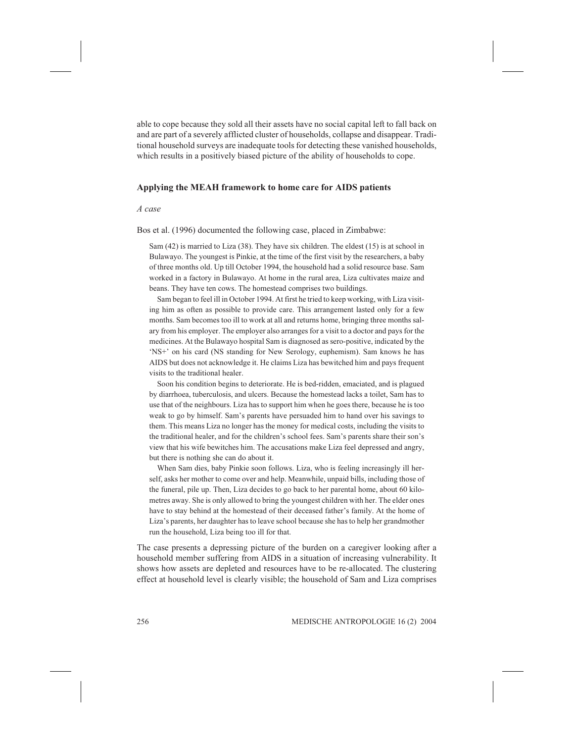able to cope because they sold all their assets have no social capital left to fall back on and are part of a severely afflicted cluster of households, collapse and disappear. Traditional household surveys are inadequate tools for detecting these vanished households, which results in a positively biased picture of the ability of households to cope.

#### Applying the MEAH framework to home care for AIDS patients

A case

Bos et al. (1996) documented the following case, placed in Zimbabwe:

Sam (42) is married to Liza (38). They have six children. The eldest (15) is at school in Bulawayo. The youngest is Pinkie, at the time of the first visit by the researchers, a baby of three months old. Up till October 1994, the household had a solid resource base. Sam worked in a factory in Bulawayo. At home in the rural area, Liza cultivates maize and beans. They have ten cows. The homestead comprises two buildings.

Sam began to feel ill in October 1994. At first he tried to keep working, with Liza visiting him as often as possible to provide care. This arrangement lasted only for a few months. Sam becomes too ill to work at all and returns home, bringing three months salary from his employer. The employer also arranges for a visit to a doctor and pays for the medicines. At the Bulawayo hospital Sam is diagnosed as sero-positive, indicated by the 'NS+' on his card (NS standing for New Serology, euphemism). Sam knows he has AIDS but does not acknowledge it. He claims Liza has bewitched him and pays frequent visits to the traditional healer.

Soon his condition begins to deteriorate. He is bed-ridden, emaciated, and is plagued by diarrhoea, tuberculosis, and ulcers. Because the homestead lacks a toilet, Sam has to use that of the neighbours. Liza has to support him when he goes there, because he is too weak to go by himself. Sam's parents have persuaded him to hand over his savings to them. This means Liza no longer has the money for medical costs, including the visits to the traditional healer, and for the children's school fees. Sam's parents share their son's view that his wife bewitches him. The accusations make Liza feel depressed and angry, but there is nothing she can do about it.

When Sam dies, baby Pinkie soon follows. Liza, who is feeling increasingly ill herself, asks her mother to come over and help. Meanwhile, unpaid bills, including those of the funeral, pile up. Then, Liza decides to go back to her parental home, about 60 kilometres away. She is only allowed to bring the youngest children with her. The elder ones have to stay behind at the homestead of their deceased father's family. At the home of Liza's parents, her daughter has to leave school because she has to help her grandmother run the household, Liza being too ill for that.

The case presents a depressing picture of the burden on a caregiver looking after a household member suffering from AIDS in a situation of increasing vulnerability. It shows how assets are depleted and resources have to be re-allocated. The clustering effect at household level is clearly visible; the household of Sam and Liza comprises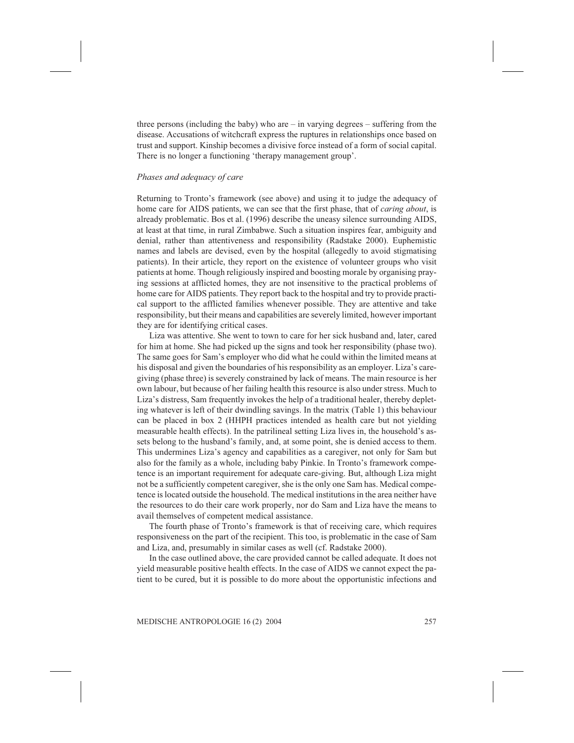three persons (including the baby) who are – in varying degrees – suffering from the disease. Accusations of witchcraft express the ruptures in relationships once based on trust and support. Kinship becomes a divisive force instead of a form of social capital. There is no longer a functioning 'therapy management group'.

#### Phases and adequacy of care

Returning to Tronto's framework (see above) and using it to judge the adequacy of home care for AIDS patients, we can see that the first phase, that of *caring about*, is already problematic. Bos et al. (1996) describe the uneasy silence surrounding AIDS, at least at that time, in rural Zimbabwe. Such a situation inspires fear, ambiguity and denial, rather than attentiveness and responsibility (Radstake 2000). Euphemistic names and labels are devised, even by the hospital (allegedly to avoid stigmatising patients). In their article, they report on the existence of volunteer groups who visit patients at home. Though religiously inspired and boosting morale by organising praying sessions at afflicted homes, they are not insensitive to the practical problems of home care for AIDS patients. They report back to the hospital and try to provide practical support to the afflicted families whenever possible. They are attentive and take responsibility, but their means and capabilities are severely limited, however important they are for identifying critical cases.

Liza was attentive. She went to town to care for her sick husband and, later, cared for him at home. She had picked up the signs and took her responsibility (phase two). The same goes for Sam's employer who did what he could within the limited means at his disposal and given the boundaries of his responsibility as an employer. Liza's caregiving (phase three) is severely constrained by lack of means. The main resource is her own labour, but because of her failing health this resource is also under stress. Much to Liza's distress, Sam frequently invokes the help of a traditional healer, thereby depleting whatever is left of their dwindling savings. In the matrix (Table 1) this behaviour can be placed in box 2 (HHPH practices intended as health care but not yielding measurable health effects). In the patrilineal setting Liza lives in, the household's assets belong to the husband's family, and, at some point, she is denied access to them. This undermines Liza's agency and capabilities as a caregiver, not only for Sam but also for the family as a whole, including baby Pinkie. In Tronto's framework competence is an important requirement for adequate care-giving. But, although Liza might not be a sufficiently competent caregiver, she is the only one Sam has. Medical competence is located outside the household. The medical institutions in the area neither have the resources to do their care work properly, nor do Sam and Liza have the means to avail themselves of competent medical assistance.

The fourth phase of Tronto's framework is that of receiving care, which requires responsiveness on the part of the recipient. This too, is problematic in the case of Sam and Liza, and, presumably in similar cases as well (cf. Radstake 2000).

In the case outlined above, the care provided cannot be called adequate. It does not yield measurable positive health effects. In the case of AIDS we cannot expect the patient to be cured, but it is possible to do more about the opportunistic infections and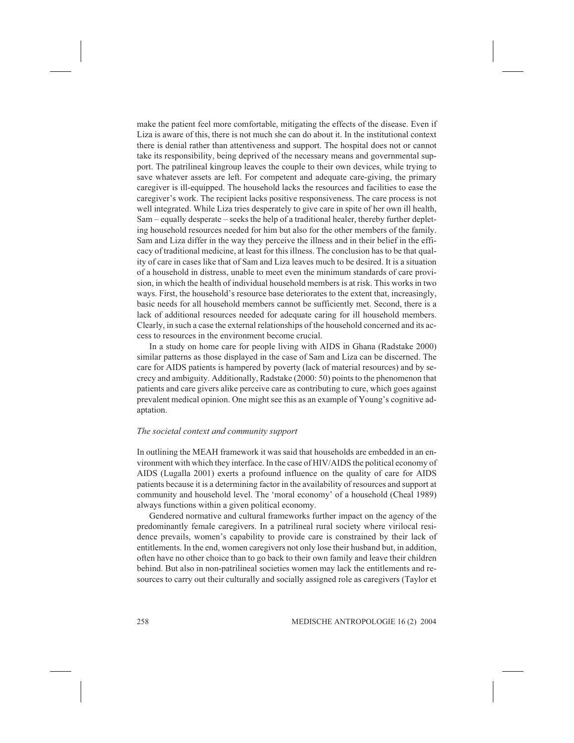make the patient feel more comfortable, mitigating the effects of the disease. Even if Liza is aware of this, there is not much she can do about it. In the institutional context there is denial rather than attentiveness and support. The hospital does not or cannot take its responsibility, being deprived of the necessary means and governmental support. The patrilineal kingroup leaves the couple to their own devices, while trying to save whatever assets are left. For competent and adequate care-giving, the primary caregiver is ill-equipped. The household lacks the resources and facilities to ease the caregiver's work. The recipient lacks positive responsiveness. The care process is not well integrated. While Liza tries desperately to give care in spite of her own ill health, Sam – equally desperate – seeks the help of a traditional healer, thereby further depleting household resources needed for him but also for the other members of the family. Sam and Liza differ in the way they perceive the illness and in their belief in the efficacy of traditional medicine, at least for this illness. The conclusion has to be that quality of care in cases like that of Sam and Liza leaves much to be desired. It is a situation of a household in distress, unable to meet even the minimum standards of care provision, in which the health of individual household members is at risk. This works in two ways. First, the household's resource base deteriorates to the extent that, increasingly, basic needs for all household members cannot be sufficiently met. Second, there is a lack of additional resources needed for adequate caring for ill household members. Clearly, in such a case the external relationships of the household concerned and its access to resources in the environment become crucial.

In a study on home care for people living with AIDS in Ghana (Radstake 2000) similar patterns as those displayed in the case of Sam and Liza can be discerned. The care for AIDS patients is hampered by poverty (lack of material resources) and by secrecy and ambiguity. Additionally, Radstake (2000: 50) points to the phenomenon that patients and care givers alike perceive care as contributing to cure, which goes against prevalent medical opinion. One might see this as an example of Young's cognitive adaptation.

#### The societal context and community support

In outlining the MEAH framework it was said that households are embedded in an environment with which they interface. In the case of HIV/AIDS the political economy of AIDS (Lugalla 2001) exerts a profound influence on the quality of care for AIDS patients because it is a determining factor in the availability of resources and support at community and household level. The 'moral economy' of a household (Cheal 1989) always functions within a given political economy.

Gendered normative and cultural frameworks further impact on the agency of the predominantly female caregivers. In a patrilineal rural society where virilocal residence prevails, women's capability to provide care is constrained by their lack of entitlements. In the end, women caregivers not only lose their husband but, in addition, often have no other choice than to go back to their own family and leave their children behind. But also in non-patrilineal societies women may lack the entitlements and resources to carry out their culturally and socially assigned role as caregivers (Taylor et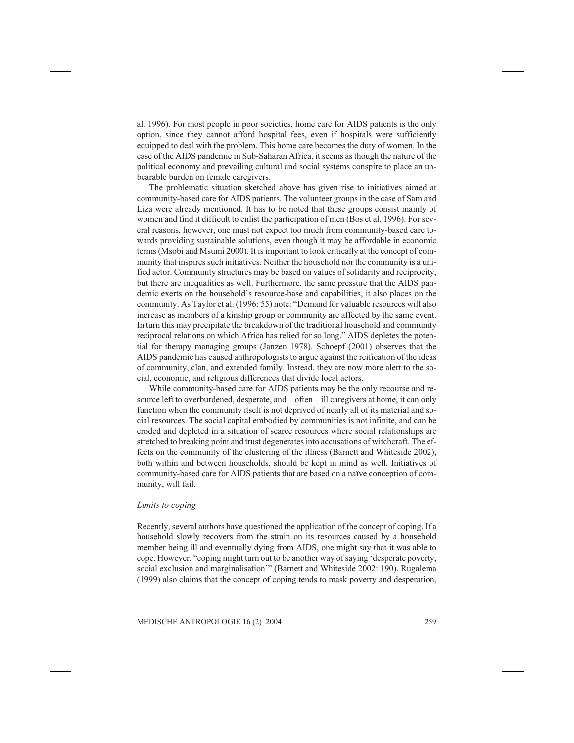al. 1996). For most people in poor societies, home care for AIDS patients is the only option, since they cannot afford hospital fees, even if hospitals were sufficiently equipped to deal with the problem. This home care becomes the duty of women. In the case of the AIDS pandemic in Sub-Saharan Africa, it seems as though the nature of the political economy and prevailing cultural and social systems conspire to place an unbearable burden on female caregivers.

The problematic situation sketched above has given rise to initiatives aimed at community-based care for AIDS patients. The volunteer groups in the case of Sam and Liza were already mentioned. It has to be noted that these groups consist mainly of women and find it difficult to enlist the participation of men (Bos et al. 1996). For several reasons, however, one must not expect too much from community-based care towards providing sustainable solutions, even though it may be affordable in economic terms (Msobi and Msumi 2000). It is important to look critically at the concept of community that inspires such initiatives. Neither the household nor the community is a unified actor. Community structures may be based on values of solidarity and reciprocity, but there are inequalities as well. Furthermore, the same pressure that the AIDS pandemic exerts on the household's resource-base and capabilities, it also places on the community. As Taylor et al. (1996: 55) note: "Demand for valuable resources will also increase as members of a kinship group or community are affected by the same event. In turn this may precipitate the breakdown of the traditional household and community reciprocal relations on which Africa has relied for so long." AIDS depletes the potential for therapy managing groups (Janzen 1978). Schoepf (2001) observes that the AIDS pandemic has caused anthropologists to argue against the reification of the ideas of community, clan, and extended family. Instead, they are now more alert to the social, economic, and religious differences that divide local actors.

While community-based care for AIDS patients may be the only recourse and resource left to overburdened, desperate, and – often – ill caregivers at home, it can only function when the community itself is not deprived of nearly all of its material and social resources. The social capital embodied by communities is not infinite, and can be eroded and depleted in a situation of scarce resources where social relationships are stretched to breaking point and trust degenerates into accusations of witchcraft. The effects on the community of the clustering of the illness (Barnett and Whiteside 2002), both within and between households, should be kept in mind as well. Initiatives of community-based care for AIDS patients that are based on a naïve conception of community, will fail.

#### Limits to coping

Recently, several authors have questioned the application of the concept of coping. If a household slowly recovers from the strain on its resources caused by a household member being ill and eventually dying from AIDS, one might say that it was able to cope. However, "coping might turn out to be another way of saying 'desperate poverty, social exclusion and marginalisation'" (Barnett and Whiteside 2002: 190). Rugalema (1999) also claims that the concept of coping tends to mask poverty and desperation,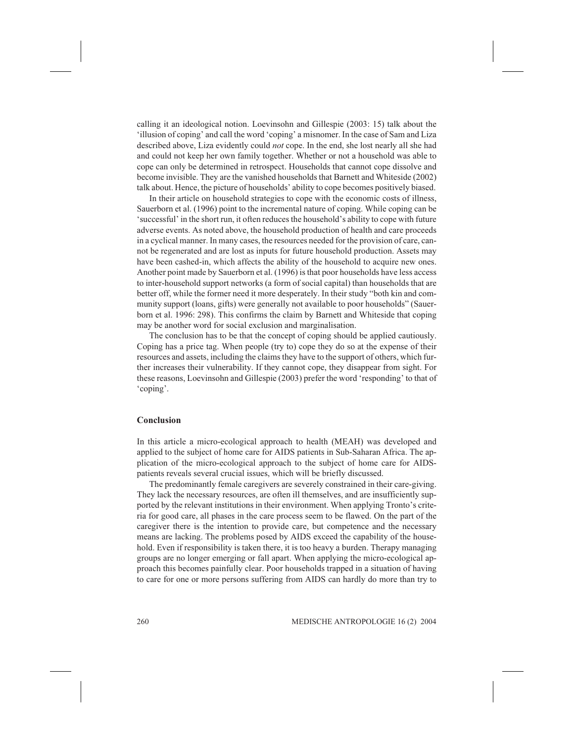calling it an ideological notion. Loevinsohn and Gillespie (2003: 15) talk about the 'illusion of coping' and call the word 'coping' a misnomer. In the case of Sam and Liza described above, Liza evidently could not cope. In the end, she lost nearly all she had and could not keep her own family together. Whether or not a household was able to cope can only be determined in retrospect. Households that cannot cope dissolve and become invisible. They are the vanished households that Barnett and Whiteside (2002) talk about. Hence, the picture of households' ability to cope becomes positively biased.

In their article on household strategies to cope with the economic costs of illness, Sauerborn et al. (1996) point to the incremental nature of coping. While coping can be 'successful' in the short run, it often reduces the household's ability to cope with future adverse events. As noted above, the household production of health and care proceeds in a cyclical manner. In many cases, the resources needed for the provision of care, cannot be regenerated and are lost as inputs for future household production. Assets may have been cashed-in, which affects the ability of the household to acquire new ones. Another point made by Sauerborn et al. (1996) is that poor households have less access to inter-household support networks (a form of social capital) than households that are better off, while the former need it more desperately. In their study "both kin and community support (loans, gifts) were generally not available to poor households" (Sauerborn et al. 1996: 298). This confirms the claim by Barnett and Whiteside that coping may be another word for social exclusion and marginalisation.

The conclusion has to be that the concept of coping should be applied cautiously. Coping has a price tag. When people (try to) cope they do so at the expense of their resources and assets, including the claims they have to the support of others, which further increases their vulnerability. If they cannot cope, they disappear from sight. For these reasons, Loevinsohn and Gillespie (2003) prefer the word 'responding' to that of 'coping'.

#### Conclusion

In this article a micro-ecological approach to health (MEAH) was developed and applied to the subject of home care for AIDS patients in Sub-Saharan Africa. The application of the micro-ecological approach to the subject of home care for AIDSpatients reveals several crucial issues, which will be briefly discussed.

The predominantly female caregivers are severely constrained in their care-giving. They lack the necessary resources, are often ill themselves, and are insufficiently supported by the relevant institutions in their environment. When applying Tronto's criteria for good care, all phases in the care process seem to be flawed. On the part of the caregiver there is the intention to provide care, but competence and the necessary means are lacking. The problems posed by AIDS exceed the capability of the household. Even if responsibility is taken there, it is too heavy a burden. Therapy managing groups are no longer emerging or fall apart. When applying the micro-ecological approach this becomes painfully clear. Poor households trapped in a situation of having to care for one or more persons suffering from AIDS can hardly do more than try to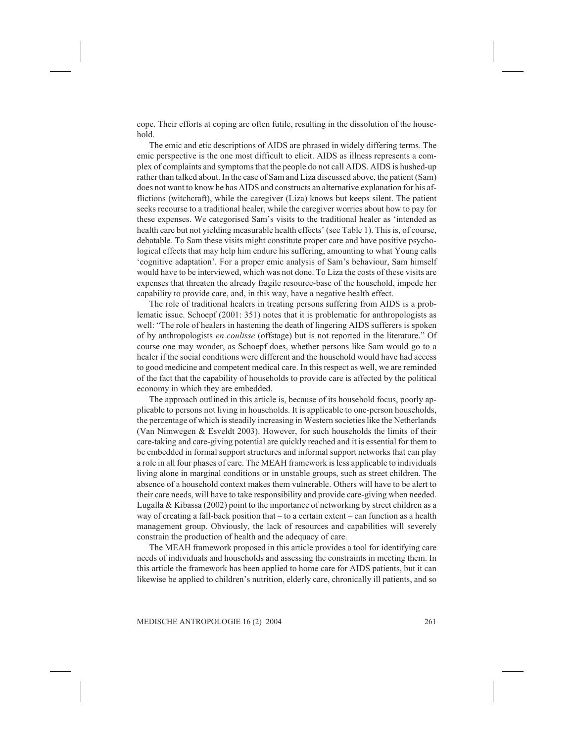cope. Their efforts at coping are often futile, resulting in the dissolution of the household.

The emic and etic descriptions of AIDS are phrased in widely differing terms. The emic perspective is the one most difficult to elicit. AIDS as illness represents a complex of complaints and symptoms that the people do not call AIDS. AIDS is hushed-up rather than talked about. In the case of Sam and Liza discussed above, the patient (Sam) does not want to know he has AIDS and constructs an alternative explanation for his afflictions (witchcraft), while the caregiver (Liza) knows but keeps silent. The patient seeks recourse to a traditional healer, while the caregiver worries about how to pay for these expenses. We categorised Sam's visits to the traditional healer as 'intended as health care but not yielding measurable health effects' (see Table 1). This is, of course, debatable. To Sam these visits might constitute proper care and have positive psychological effects that may help him endure his suffering, amounting to what Young calls 'cognitive adaptation'. For a proper emic analysis of Sam's behaviour, Sam himself would have to be interviewed, which was not done. To Liza the costs of these visits are expenses that threaten the already fragile resource-base of the household, impede her capability to provide care, and, in this way, have a negative health effect.

The role of traditional healers in treating persons suffering from AIDS is a problematic issue. Schoepf (2001: 351) notes that it is problematic for anthropologists as well: "The role of healers in hastening the death of lingering AIDS sufferers is spoken of by anthropologists en coulisse (offstage) but is not reported in the literature." Of course one may wonder, as Schoepf does, whether persons like Sam would go to a healer if the social conditions were different and the household would have had access to good medicine and competent medical care. In this respect as well, we are reminded of the fact that the capability of households to provide care is affected by the political economy in which they are embedded.

The approach outlined in this article is, because of its household focus, poorly applicable to persons not living in households. It is applicable to one-person households, the percentage of which is steadily increasing in Western societies like the Netherlands (Van Nimwegen & Esveldt 2003). However, for such households the limits of their care-taking and care-giving potential are quickly reached and it is essential for them to be embedded in formal support structures and informal support networks that can play a role in all four phases of care. The MEAH framework is less applicable to individuals living alone in marginal conditions or in unstable groups, such as street children. The absence of a household context makes them vulnerable. Others will have to be alert to their care needs, will have to take responsibility and provide care-giving when needed. Lugalla  $&$  Kibassa (2002) point to the importance of networking by street children as a way of creating a fall-back position that – to a certain extent – can function as a health management group. Obviously, the lack of resources and capabilities will severely constrain the production of health and the adequacy of care.

The MEAH framework proposed in this article provides a tool for identifying care needs of individuals and households and assessing the constraints in meeting them. In this article the framework has been applied to home care for AIDS patients, but it can likewise be applied to children's nutrition, elderly care, chronically ill patients, and so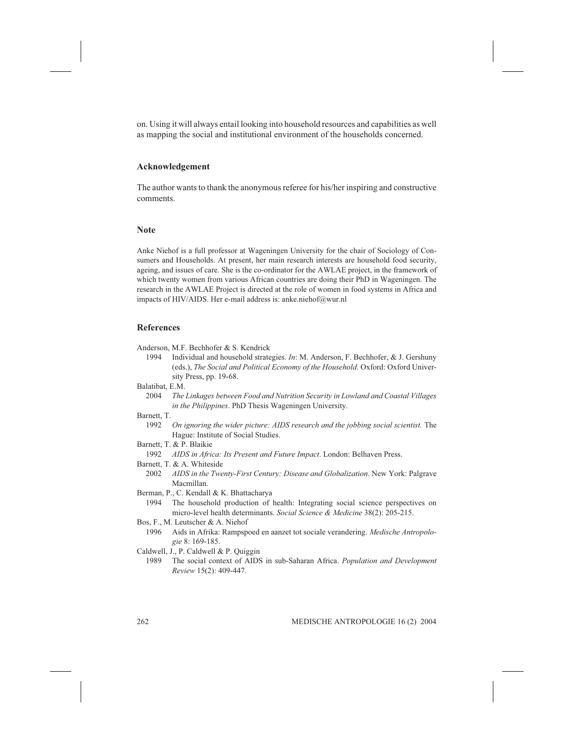on. Using it will always entail looking into household resources and capabilities as well as mapping the social and institutional environment of the households concerned.

# Acknowledgement

The author wants to thank the anonymous referee for his/her inspiring and constructive comments.

#### Note

Anke Niehof is a full professor at Wageningen University for the chair of Sociology of Consumers and Households. At present, her main research interests are household food security, ageing, and issues of care. She is the co-ordinator for the AWLAE project, in the framework of which twenty women from various African countries are doing their PhD in Wageningen. The research in the AWLAE Project is directed at the role of women in food systems in Africa and impacts of HIV/AIDS. Her e-mail address is: anke.niehof@wur.nl

# References

- Anderson, M.F. Bechhofer & S. Kendrick
	- 1994 Individual and household strategies. In: M. Anderson, F. Bechhofer, & J. Gershuny (eds.), The Social and Political Economy of the Household. Oxford: Oxford University Press, pp. 19-68.
- Balatibat, E.M.
	- 2004 The Linkages between Food and Nutrition Security in Lowland and Coastal Villages in the Philippines. PhD Thesis Wageningen University.
- Barnett, T.
	- 1992 On ignoring the wider picture: AIDS research and the jobbing social scientist. The Hague: Institute of Social Studies.
- Barnett, T. & P. Blaikie
	- 1992 AIDS in Africa: Its Present and Future Impact. London: Belhaven Press.
- Barnett, T. & A. Whiteside
	- 2002 AIDS in the Twenty-First Century: Disease and Globalization. New York: Palgrave Macmillan.
- Berman, P., C. Kendall & K. Bhattacharya
- 1994 The household production of health: Integrating social science perspectives on micro-level health determinants. Social Science & Medicine 38(2): 205-215.
- Bos, F., M. Leutscher & A. Niehof
	- 1996 Aids in Afrika: Rampspoed en aanzet tot sociale verandering. Medische Antropologie 8: 169-185.
- Caldwell, J., P. Caldwell & P. Quiggin
	- 1989 The social context of AIDS in sub-Saharan Africa. Population and Development Review 15(2): 409-447.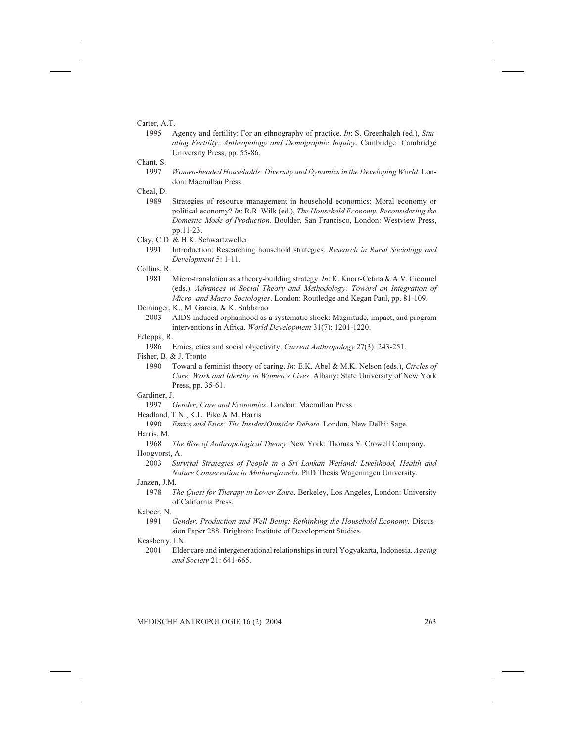# Carter, A.T.

1995 Agency and fertility: For an ethnography of practice. In: S. Greenhalgh (ed.), Situating Fertility: Anthropology and Demographic Inquiry. Cambridge: Cambridge University Press, pp. 55-86.

#### Chant, S.

1997 Women-headed Households: Diversity and Dynamics in the Developing World. London: Macmillan Press.

# Cheal, D.

- 1989 Strategies of resource management in household economics: Moral economy or political economy? In: R.R. Wilk (ed.), The Household Economy. Reconsidering the Domestic Mode of Production. Boulder, San Francisco, London: Westview Press, pp.11-23.
- Clay, C.D. & H.K. Schwartzweller
	- 1991 Introduction: Researching household strategies. Research in Rural Sociology and Development 5: 1-11.

# Collins, R.

- 1981 Micro-translation as a theory-building strategy. In: K. Knorr-Cetina & A.V. Cicourel (eds.), Advances in Social Theory and Methodology: Toward an Integration of Micro- and Macro-Sociologies. London: Routledge and Kegan Paul, pp. 81-109.
- Deininger, K., M. Garcia, & K. Subbarao
	- 2003 AIDS-induced orphanhood as a systematic shock: Magnitude, impact, and program interventions in Africa. World Development 31(7): 1201-1220.

#### Feleppa, R.

1986 Emics, etics and social objectivity. Current Anthropology 27(3): 243-251.

# Fisher, B. & J. Tronto

1990 Toward a feminist theory of caring. In: E.K. Abel & M.K. Nelson (eds.), Circles of Care: Work and Identity in Women's Lives. Albany: State University of New York Press, pp. 35-61.

#### Gardiner, J.

- 1997 Gender, Care and Economics. London: Macmillan Press.
- Headland, T.N., K.L. Pike & M. Harris
- 1990 Emics and Etics: The Insider/Outsider Debate. London, New Delhi: Sage. Harris, M.
- 1968 The Rise of Anthropological Theory. New York: Thomas Y. Crowell Company. Hoogvorst, A.

- 2003 Survival Strategies of People in a Sri Lankan Wetland: Livelihood, Health and Nature Conservation in Muthurajawela. PhD Thesis Wageningen University. Janzen, J.M.
- 1978 The Quest for Therapy in Lower Zaire. Berkeley, Los Angeles, London: University of California Press.

#### Kabeer, N.

1991 Gender, Production and Well-Being: Rethinking the Household Economy. Discussion Paper 288. Brighton: Institute of Development Studies.

#### Keasberry, I.N.

2001 Elder care and intergenerational relationships in rural Yogyakarta, Indonesia. Ageing and Society 21: 641-665.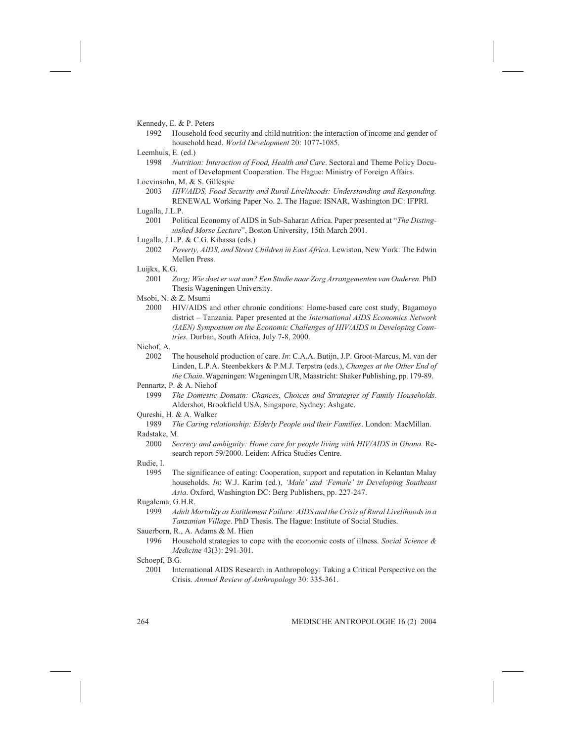- Kennedy, E. & P. Peters
	- 1992 Household food security and child nutrition: the interaction of income and gender of household head. World Development 20: 1077-1085.
- Leemhuis, E. (ed.)
	- 1998 Nutrition: Interaction of Food, Health and Care. Sectoral and Theme Policy Document of Development Cooperation. The Hague: Ministry of Foreign Affairs.
- Loevinsohn, M. & S. Gillespie
	- 2003 HIV/AIDS, Food Security and Rural Livelihoods: Understanding and Responding. RENEWAL Working Paper No. 2. The Hague: ISNAR, Washington DC: IFPRI.

- 2001 Political Economy of AIDS in Sub-Saharan Africa. Paper presented at "The Distinguished Morse Lecture", Boston University, 15th March 2001.
- Lugalla, J.L.P. & C.G. Kibassa (eds.)
	- 2002 Poverty, AIDS, and Street Children in East Africa. Lewiston, New York: The Edwin Mellen Press.
- Luijkx, K.G.
	- 2001 Zorg; Wie doet er wat aan? Een Studie naar Zorg Arrangementen van Ouderen. PhD Thesis Wageningen University.
- Msobi, N. & Z. Msumi
- 2000 HIV/AIDS and other chronic conditions: Home-based care cost study, Bagamoyo district – Tanzania. Paper presented at the *International AIDS Economics Network* (IAEN) Symposium on the Economic Challenges of HIV/AIDS in Developing Countries. Durban, South Africa, July 7-8, 2000.

Niehof, A.

2002 The household production of care. In: C.A.A. Butijn, J.P. Groot-Marcus, M. van der Linden, L.P.A. Steenbekkers & P.M.J. Terpstra (eds.), Changes at the Other End of the Chain. Wageningen: Wageningen UR, Maastricht: Shaker Publishing, pp. 179-89.

Pennartz, P. & A. Niehof

- 1999 The Domestic Domain: Chances, Choices and Strategies of Family Households. Aldershot, Brookfield USA, Singapore, Sydney: Ashgate.
- Qureshi, H. & A. Walker
- 1989 The Caring relationship: Elderly People and their Families. London: MacMillan. Radstake, M.
	- 2000 Secrecy and ambiguity: Home care for people living with HIV/AIDS in Ghana. Research report 59/2000. Leiden: Africa Studies Centre.

#### Rudie, I.

1995 The significance of eating: Cooperation, support and reputation in Kelantan Malay households. In: W.J. Karim (ed.), 'Male' and 'Female' in Developing Southeast Asia. Oxford, Washington DC: Berg Publishers, pp. 227-247.

#### Rugalema, G.H.R.

1999 Adult Mortality as Entitlement Failure: AIDS and the Crisis of Rural Livelihoods in a Tanzanian Village. PhD Thesis. The Hague: Institute of Social Studies.

#### Sauerborn, R., A. Adams & M. Hien

1996 Household strategies to cope with the economic costs of illness. Social Science & Medicine 43(3): 291-301.

2001 International AIDS Research in Anthropology: Taking a Critical Perspective on the Crisis. Annual Review of Anthropology 30: 335-361.

Lugalla, J.L.P.

Schoepf, B.G.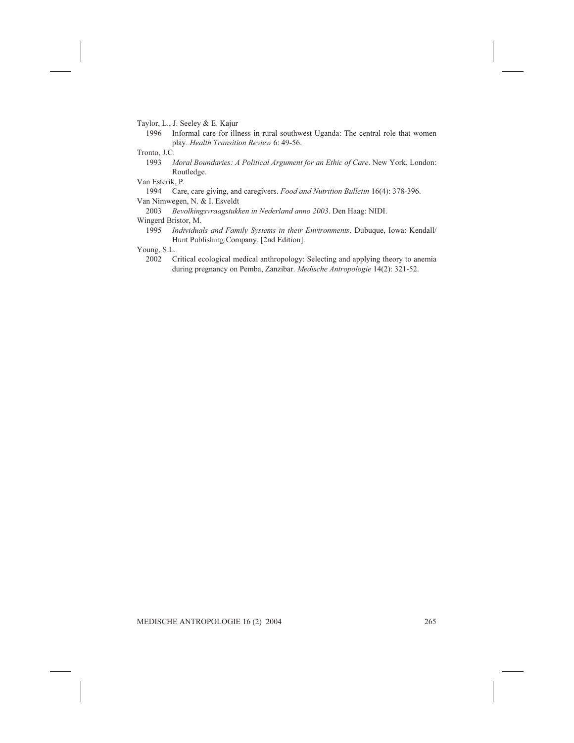Taylor, L., J. Seeley & E. Kajur

1996 Informal care for illness in rural southwest Uganda: The central role that women play. Health Transition Review 6: 49-56.

Tronto, J.C.

1993 Moral Boundaries: A Political Argument for an Ethic of Care. New York, London: Routledge.

- Van Esterik, P. Care, care giving, and caregivers. Food and Nutrition Bulletin 16(4): 378-396. Van Nimwegen, N. & I. Esveldt
	- 2003 Bevolkingsvraagstukken in Nederland anno 2003. Den Haag: NIDI.

#### Wingerd Bristor, M.

1995 Individuals and Family Systems in their Environments. Dubuque, Iowa: Kendall/ Hunt Publishing Company. [2nd Edition].

Young, S.L.

2002 Critical ecological medical anthropology: Selecting and applying theory to anemia during pregnancy on Pemba, Zanzibar. Medische Antropologie 14(2): 321-52.